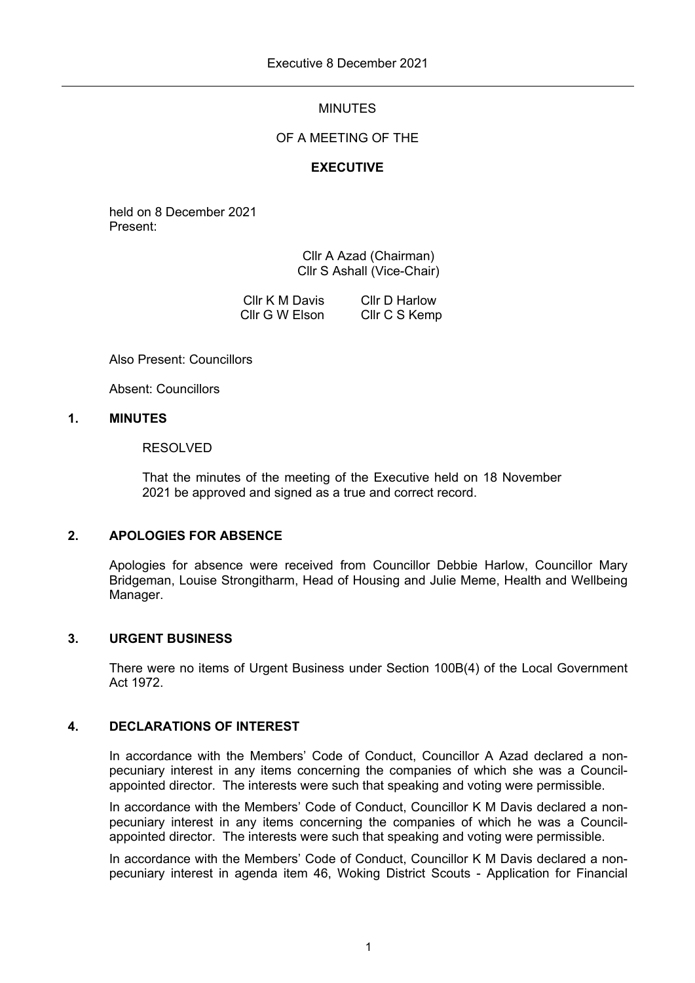# MINUTES

# OF A MEETING OF THE

# **EXECUTIVE**

held on 8 December 2021 Present:

> Cllr A Azad (Chairman) Cllr S Ashall (Vice-Chair)

Cllr K M Davis Cllr G W Elson Cllr D Harlow Cllr C S Kemp

Also Present: Councillors

Absent: Councillors

# **1. MINUTES**

### RESOLVED

That the minutes of the meeting of the Executive held on 18 November 2021 be approved and signed as a true and correct record.

# **2. APOLOGIES FOR ABSENCE**

Apologies for absence were received from Councillor Debbie Harlow, Councillor Mary Bridgeman, Louise Strongitharm, Head of Housing and Julie Meme, Health and Wellbeing Manager.

# **3. URGENT BUSINESS**

There were no items of Urgent Business under Section 100B(4) of the Local Government Act 1972.

# **4. DECLARATIONS OF INTEREST**

In accordance with the Members' Code of Conduct, Councillor A Azad declared a nonpecuniary interest in any items concerning the companies of which she was a Councilappointed director. The interests were such that speaking and voting were permissible.

In accordance with the Members' Code of Conduct, Councillor K M Davis declared a nonpecuniary interest in any items concerning the companies of which he was a Councilappointed director. The interests were such that speaking and voting were permissible.

In accordance with the Members' Code of Conduct, Councillor K M Davis declared a nonpecuniary interest in agenda item 46, Woking District Scouts - Application for Financial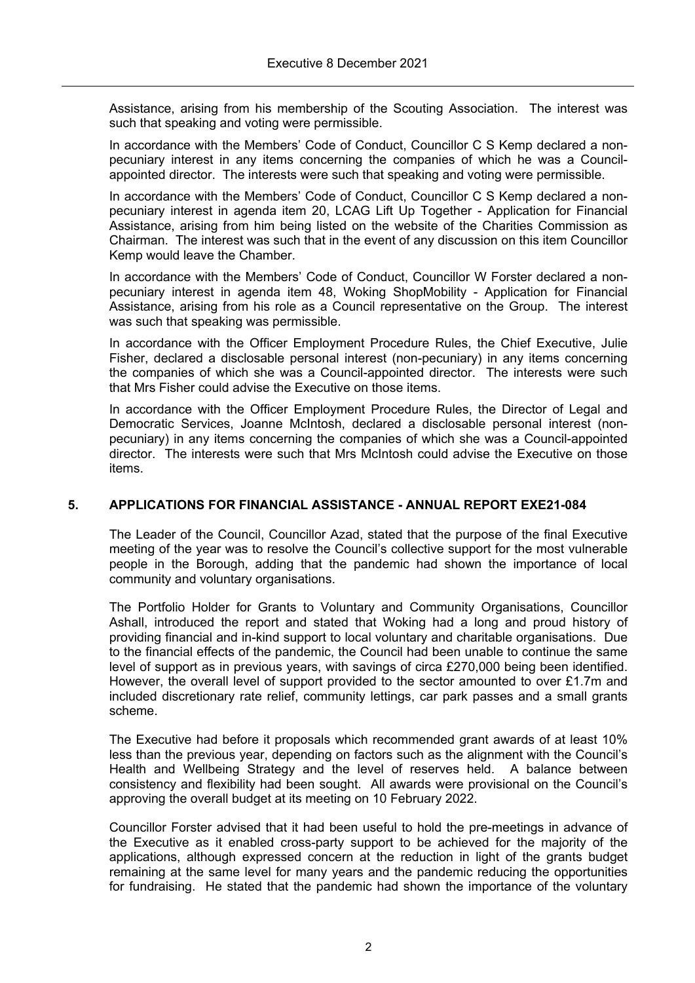Assistance, arising from his membership of the Scouting Association. The interest was such that speaking and voting were permissible.

In accordance with the Members' Code of Conduct, Councillor C S Kemp declared a nonpecuniary interest in any items concerning the companies of which he was a Councilappointed director. The interests were such that speaking and voting were permissible.

In accordance with the Members' Code of Conduct, Councillor C S Kemp declared a nonpecuniary interest in agenda item 20, LCAG Lift Up Together - Application for Financial Assistance, arising from him being listed on the website of the Charities Commission as Chairman. The interest was such that in the event of any discussion on this item Councillor Kemp would leave the Chamber.

In accordance with the Members' Code of Conduct, Councillor W Forster declared a nonpecuniary interest in agenda item 48, Woking ShopMobility - Application for Financial Assistance, arising from his role as a Council representative on the Group. The interest was such that speaking was permissible.

In accordance with the Officer Employment Procedure Rules, the Chief Executive, Julie Fisher, declared a disclosable personal interest (non-pecuniary) in any items concerning the companies of which she was a Council-appointed director. The interests were such that Mrs Fisher could advise the Executive on those items.

In accordance with the Officer Employment Procedure Rules, the Director of Legal and Democratic Services, Joanne McIntosh, declared a disclosable personal interest (nonpecuniary) in any items concerning the companies of which she was a Council-appointed director. The interests were such that Mrs McIntosh could advise the Executive on those items.

# **5. APPLICATIONS FOR FINANCIAL ASSISTANCE - ANNUAL REPORT EXE21-084**

The Leader of the Council, Councillor Azad, stated that the purpose of the final Executive meeting of the year was to resolve the Council's collective support for the most vulnerable people in the Borough, adding that the pandemic had shown the importance of local community and voluntary organisations.

The Portfolio Holder for Grants to Voluntary and Community Organisations, Councillor Ashall, introduced the report and stated that Woking had a long and proud history of providing financial and in-kind support to local voluntary and charitable organisations. Due to the financial effects of the pandemic, the Council had been unable to continue the same level of support as in previous years, with savings of circa £270,000 being been identified. However, the overall level of support provided to the sector amounted to over £1.7m and included discretionary rate relief, community lettings, car park passes and a small grants scheme.

The Executive had before it proposals which recommended grant awards of at least 10% less than the previous year, depending on factors such as the alignment with the Council's Health and Wellbeing Strategy and the level of reserves held. A balance between consistency and flexibility had been sought. All awards were provisional on the Council's approving the overall budget at its meeting on 10 February 2022.

Councillor Forster advised that it had been useful to hold the pre-meetings in advance of the Executive as it enabled cross-party support to be achieved for the majority of the applications, although expressed concern at the reduction in light of the grants budget remaining at the same level for many years and the pandemic reducing the opportunities for fundraising. He stated that the pandemic had shown the importance of the voluntary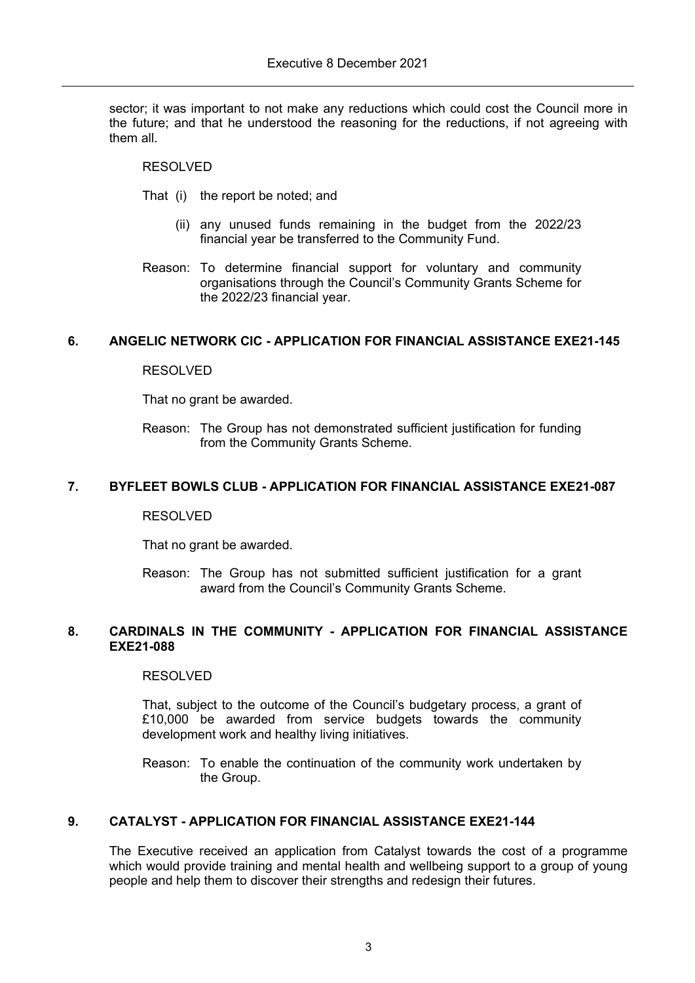sector; it was important to not make any reductions which could cost the Council more in the future; and that he understood the reasoning for the reductions, if not agreeing with them all.

### RESOLVED

- That (i) the report be noted; and
	- (ii) any unused funds remaining in the budget from the 2022/23 financial year be transferred to the Community Fund.
- Reason: To determine financial support for voluntary and community organisations through the Council's Community Grants Scheme for the 2022/23 financial year.

### **6. ANGELIC NETWORK CIC - APPLICATION FOR FINANCIAL ASSISTANCE EXE21-145**

### RESOLVED

That no grant be awarded.

Reason: The Group has not demonstrated sufficient justification for funding from the Community Grants Scheme.

# **7. BYFLEET BOWLS CLUB - APPLICATION FOR FINANCIAL ASSISTANCE EXE21-087**

#### RESOLVED

That no grant be awarded.

Reason: The Group has not submitted sufficient justification for a grant award from the Council's Community Grants Scheme.

#### **8. CARDINALS IN THE COMMUNITY - APPLICATION FOR FINANCIAL ASSISTANCE EXE21-088**

#### RESOLVED

That, subject to the outcome of the Council's budgetary process, a grant of £10,000 be awarded from service budgets towards the community development work and healthy living initiatives.

Reason: To enable the continuation of the community work undertaken by the Group.

# **9. CATALYST - APPLICATION FOR FINANCIAL ASSISTANCE EXE21-144**

The Executive received an application from Catalyst towards the cost of a programme which would provide training and mental health and wellbeing support to a group of young people and help them to discover their strengths and redesign their futures.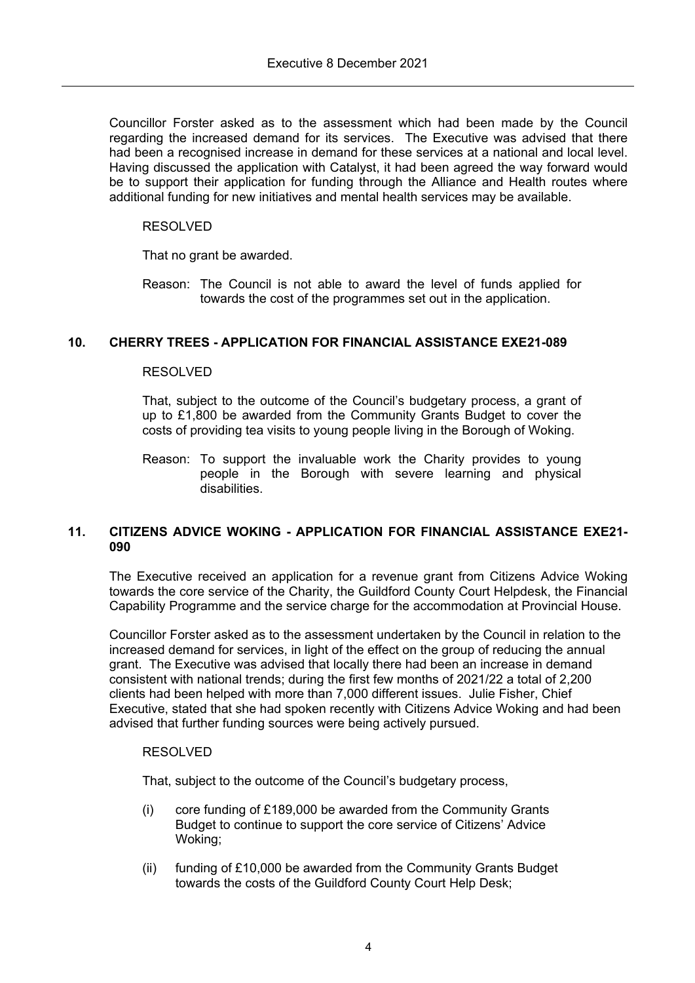Councillor Forster asked as to the assessment which had been made by the Council regarding the increased demand for its services. The Executive was advised that there had been a recognised increase in demand for these services at a national and local level. Having discussed the application with Catalyst, it had been agreed the way forward would be to support their application for funding through the Alliance and Health routes where additional funding for new initiatives and mental health services may be available.

# RESOLVED

That no grant be awarded.

Reason: The Council is not able to award the level of funds applied for towards the cost of the programmes set out in the application.

# **10. CHERRY TREES - APPLICATION FOR FINANCIAL ASSISTANCE EXE21-089**

# RESOLVED

That, subject to the outcome of the Council's budgetary process, a grant of up to £1,800 be awarded from the Community Grants Budget to cover the costs of providing tea visits to young people living in the Borough of Woking.

Reason: To support the invaluable work the Charity provides to young people in the Borough with severe learning and physical disabilities

### **11. CITIZENS ADVICE WOKING - APPLICATION FOR FINANCIAL ASSISTANCE EXE21- 090**

The Executive received an application for a revenue grant from Citizens Advice Woking towards the core service of the Charity, the Guildford County Court Helpdesk, the Financial Capability Programme and the service charge for the accommodation at Provincial House.

Councillor Forster asked as to the assessment undertaken by the Council in relation to the increased demand for services, in light of the effect on the group of reducing the annual grant. The Executive was advised that locally there had been an increase in demand consistent with national trends; during the first few months of 2021/22 a total of 2,200 clients had been helped with more than 7,000 different issues. Julie Fisher, Chief Executive, stated that she had spoken recently with Citizens Advice Woking and had been advised that further funding sources were being actively pursued.

# RESOLVED

That, subject to the outcome of the Council's budgetary process,

- (i) core funding of £189,000 be awarded from the Community Grants Budget to continue to support the core service of Citizens' Advice Woking;
- (ii) funding of £10,000 be awarded from the Community Grants Budget towards the costs of the Guildford County Court Help Desk;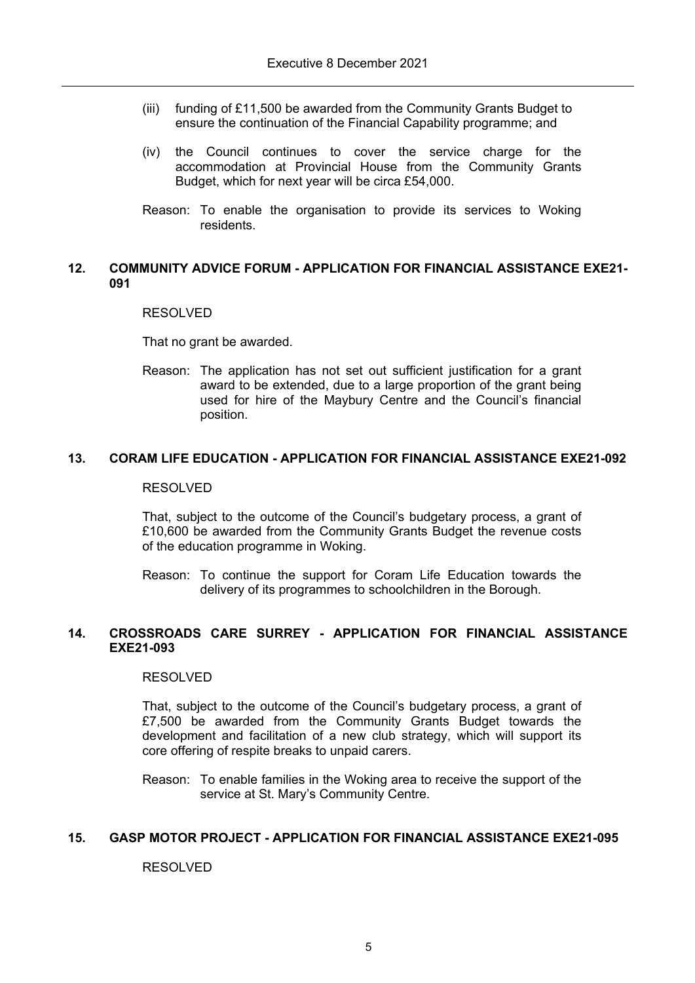- (iii) funding of £11,500 be awarded from the Community Grants Budget to ensure the continuation of the Financial Capability programme; and
- (iv) the Council continues to cover the service charge for the accommodation at Provincial House from the Community Grants Budget, which for next year will be circa £54,000.
- Reason: To enable the organisation to provide its services to Woking residents.

# **12. COMMUNITY ADVICE FORUM - APPLICATION FOR FINANCIAL ASSISTANCE EXE21- 091**

### RESOLVED

That no grant be awarded.

Reason: The application has not set out sufficient justification for a grant award to be extended, due to a large proportion of the grant being used for hire of the Maybury Centre and the Council's financial position.

# **13. CORAM LIFE EDUCATION - APPLICATION FOR FINANCIAL ASSISTANCE EXE21-092**

#### RESOLVED

That, subject to the outcome of the Council's budgetary process, a grant of £10,600 be awarded from the Community Grants Budget the revenue costs of the education programme in Woking.

Reason: To continue the support for Coram Life Education towards the delivery of its programmes to schoolchildren in the Borough.

#### **14. CROSSROADS CARE SURREY - APPLICATION FOR FINANCIAL ASSISTANCE EXE21-093**

#### RESOLVED

That, subject to the outcome of the Council's budgetary process, a grant of £7,500 be awarded from the Community Grants Budget towards the development and facilitation of a new club strategy, which will support its core offering of respite breaks to unpaid carers.

Reason: To enable families in the Woking area to receive the support of the service at St. Mary's Community Centre.

### **15. GASP MOTOR PROJECT - APPLICATION FOR FINANCIAL ASSISTANCE EXE21-095**

# RESOLVED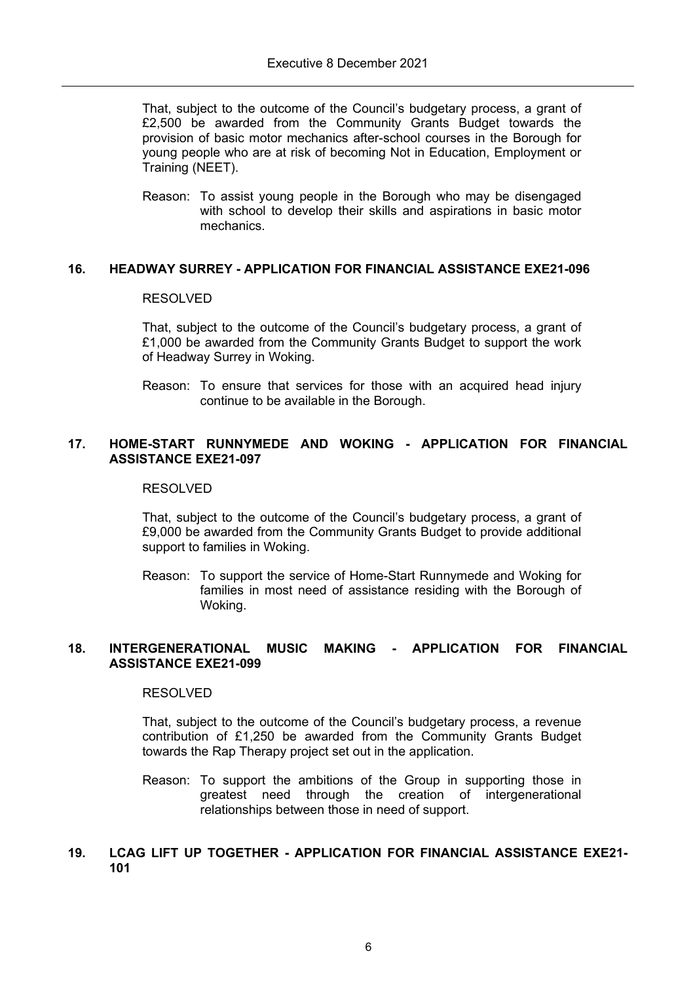That, subject to the outcome of the Council's budgetary process, a grant of £2,500 be awarded from the Community Grants Budget towards the provision of basic motor mechanics after-school courses in the Borough for young people who are at risk of becoming Not in Education, Employment or Training (NEET).

Reason: To assist young people in the Borough who may be disengaged with school to develop their skills and aspirations in basic motor mechanics.

# **16. HEADWAY SURREY - APPLICATION FOR FINANCIAL ASSISTANCE EXE21-096**

#### RESOLVED

That, subject to the outcome of the Council's budgetary process, a grant of £1,000 be awarded from the Community Grants Budget to support the work of Headway Surrey in Woking.

Reason: To ensure that services for those with an acquired head injury continue to be available in the Borough.

### **17. HOME-START RUNNYMEDE AND WOKING - APPLICATION FOR FINANCIAL ASSISTANCE EXE21-097**

#### RESOLVED

That, subject to the outcome of the Council's budgetary process, a grant of £9,000 be awarded from the Community Grants Budget to provide additional support to families in Woking.

Reason: To support the service of Home-Start Runnymede and Woking for families in most need of assistance residing with the Borough of Woking.

# **18. INTERGENERATIONAL MUSIC MAKING - APPLICATION FOR FINANCIAL ASSISTANCE EXE21-099**

#### RESOLVED

That, subject to the outcome of the Council's budgetary process, a revenue contribution of £1,250 be awarded from the Community Grants Budget towards the Rap Therapy project set out in the application.

Reason: To support the ambitions of the Group in supporting those in greatest need through the creation of intergenerational relationships between those in need of support.

### **19. LCAG LIFT UP TOGETHER - APPLICATION FOR FINANCIAL ASSISTANCE EXE21- 101**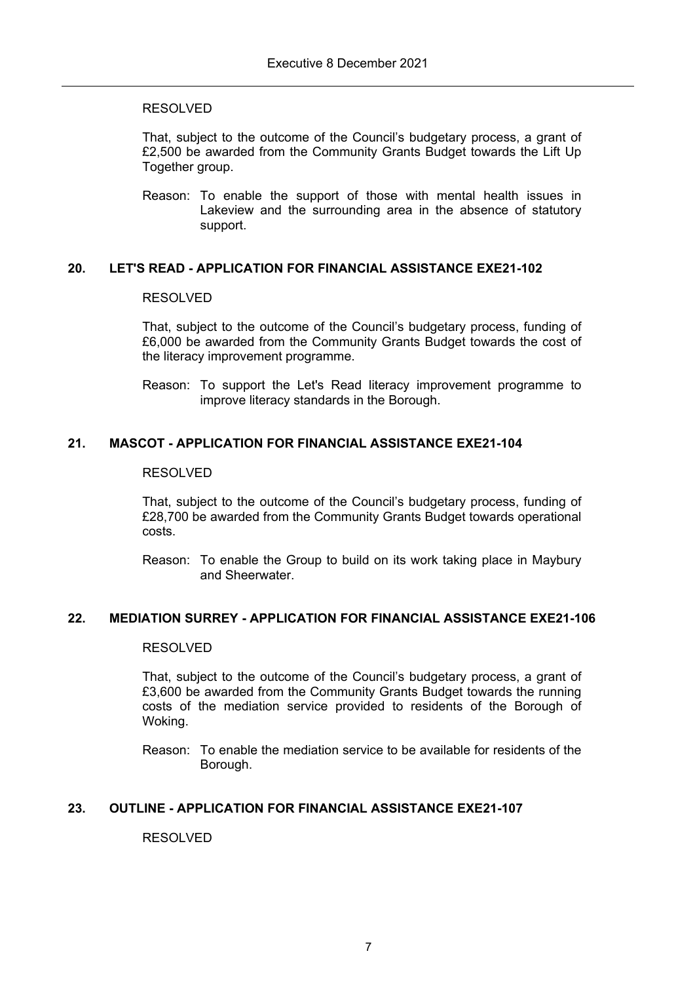That, subject to the outcome of the Council's budgetary process, a grant of £2,500 be awarded from the Community Grants Budget towards the Lift Up Together group.

Reason: To enable the support of those with mental health issues in Lakeview and the surrounding area in the absence of statutory support.

# **20. LET'S READ - APPLICATION FOR FINANCIAL ASSISTANCE EXE21-102**

### RESOLVED

That, subject to the outcome of the Council's budgetary process, funding of £6,000 be awarded from the Community Grants Budget towards the cost of the literacy improvement programme.

Reason: To support the Let's Read literacy improvement programme to improve literacy standards in the Borough.

# **21. MASCOT - APPLICATION FOR FINANCIAL ASSISTANCE EXE21-104**

#### RESOLVED

That, subject to the outcome of the Council's budgetary process, funding of £28,700 be awarded from the Community Grants Budget towards operational costs.

Reason: To enable the Group to build on its work taking place in Maybury and Sheerwater.

# **22. MEDIATION SURREY - APPLICATION FOR FINANCIAL ASSISTANCE EXE21-106**

### RESOLVED

That, subject to the outcome of the Council's budgetary process, a grant of £3,600 be awarded from the Community Grants Budget towards the running costs of the mediation service provided to residents of the Borough of Woking.

Reason: To enable the mediation service to be available for residents of the Borough.

# **23. OUTLINE - APPLICATION FOR FINANCIAL ASSISTANCE EXE21-107**

RESOLVED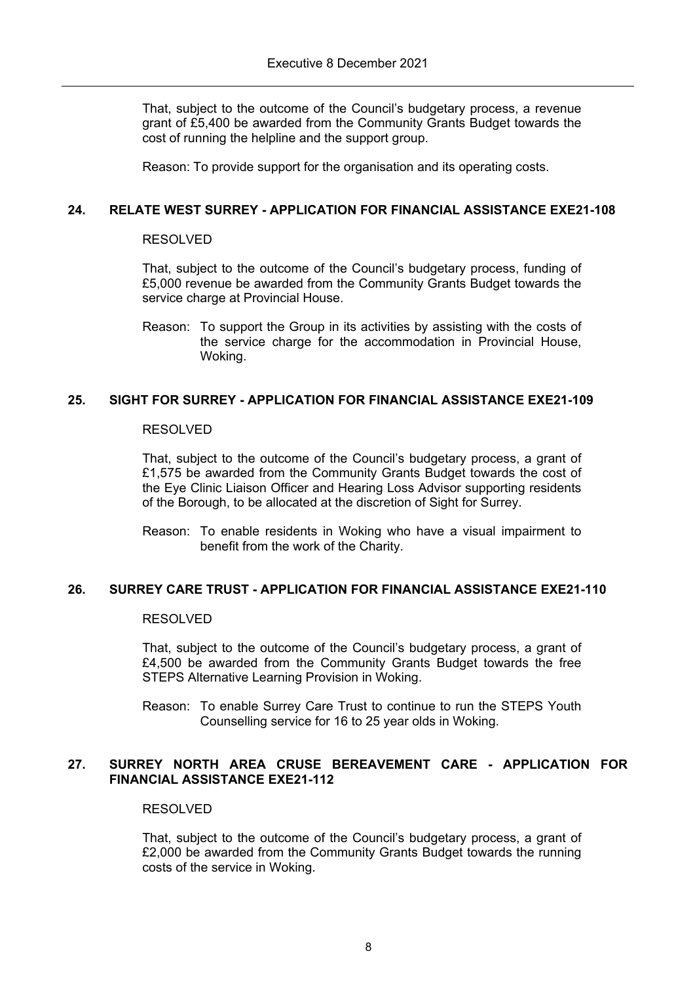That, subject to the outcome of the Council's budgetary process, a revenue grant of £5,400 be awarded from the Community Grants Budget towards the cost of running the helpline and the support group.

Reason: To provide support for the organisation and its operating costs.

# **24. RELATE WEST SURREY - APPLICATION FOR FINANCIAL ASSISTANCE EXE21-108**

### RESOLVED

That, subject to the outcome of the Council's budgetary process, funding of £5,000 revenue be awarded from the Community Grants Budget towards the service charge at Provincial House.

Reason: To support the Group in its activities by assisting with the costs of the service charge for the accommodation in Provincial House, Woking.

# **25. SIGHT FOR SURREY - APPLICATION FOR FINANCIAL ASSISTANCE EXE21-109**

### RESOLVED

That, subject to the outcome of the Council's budgetary process, a grant of £1,575 be awarded from the Community Grants Budget towards the cost of the Eye Clinic Liaison Officer and Hearing Loss Advisor supporting residents of the Borough, to be allocated at the discretion of Sight for Surrey.

Reason: To enable residents in Woking who have a visual impairment to benefit from the work of the Charity.

# **26. SURREY CARE TRUST - APPLICATION FOR FINANCIAL ASSISTANCE EXE21-110**

#### RESOLVED

That, subject to the outcome of the Council's budgetary process, a grant of £4,500 be awarded from the Community Grants Budget towards the free STEPS Alternative Learning Provision in Woking.

Reason: To enable Surrey Care Trust to continue to run the STEPS Youth Counselling service for 16 to 25 year olds in Woking.

# **27. SURREY NORTH AREA CRUSE BEREAVEMENT CARE - APPLICATION FOR FINANCIAL ASSISTANCE EXE21-112**

#### RESOLVED

That, subject to the outcome of the Council's budgetary process, a grant of £2,000 be awarded from the Community Grants Budget towards the running costs of the service in Woking.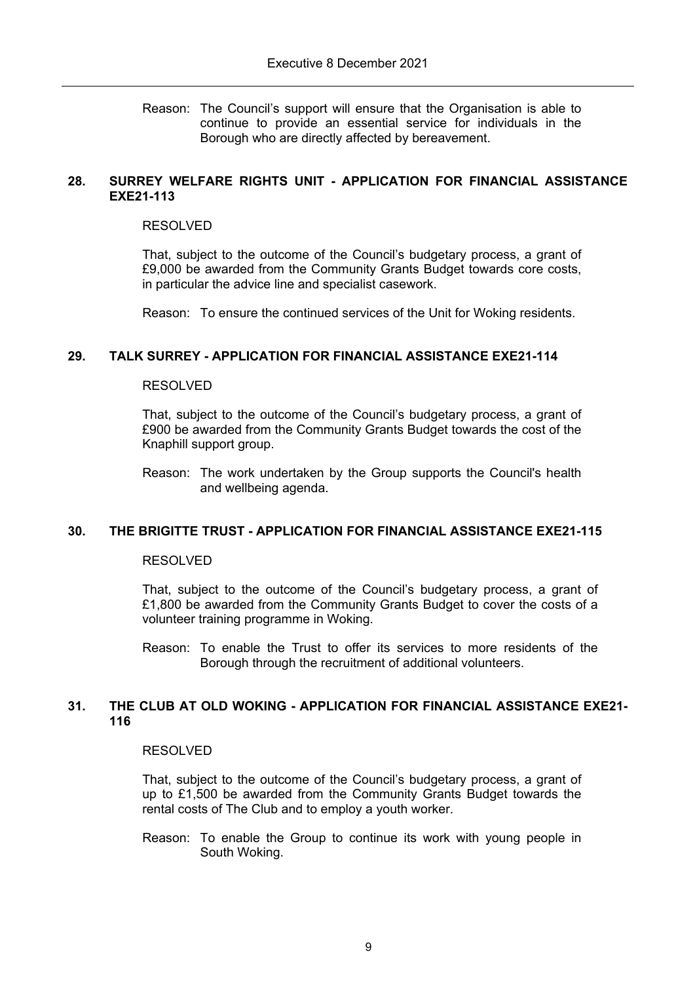Reason: The Council's support will ensure that the Organisation is able to continue to provide an essential service for individuals in the Borough who are directly affected by bereavement.

### **28. SURREY WELFARE RIGHTS UNIT - APPLICATION FOR FINANCIAL ASSISTANCE EXE21-113**

#### RESOLVED

That, subject to the outcome of the Council's budgetary process, a grant of £9,000 be awarded from the Community Grants Budget towards core costs, in particular the advice line and specialist casework.

Reason: To ensure the continued services of the Unit for Woking residents.

### **29. TALK SURREY - APPLICATION FOR FINANCIAL ASSISTANCE EXE21-114**

### RESOLVED

That, subject to the outcome of the Council's budgetary process, a grant of £900 be awarded from the Community Grants Budget towards the cost of the Knaphill support group.

Reason: The work undertaken by the Group supports the Council's health and wellbeing agenda.

# **30. THE BRIGITTE TRUST - APPLICATION FOR FINANCIAL ASSISTANCE EXE21-115**

#### RESOLVED

That, subject to the outcome of the Council's budgetary process, a grant of £1,800 be awarded from the Community Grants Budget to cover the costs of a volunteer training programme in Woking.

Reason: To enable the Trust to offer its services to more residents of the Borough through the recruitment of additional volunteers.

### **31. THE CLUB AT OLD WOKING - APPLICATION FOR FINANCIAL ASSISTANCE EXE21- 116**

#### RESOLVED

That, subject to the outcome of the Council's budgetary process, a grant of up to £1,500 be awarded from the Community Grants Budget towards the rental costs of The Club and to employ a youth worker.

Reason: To enable the Group to continue its work with young people in South Woking.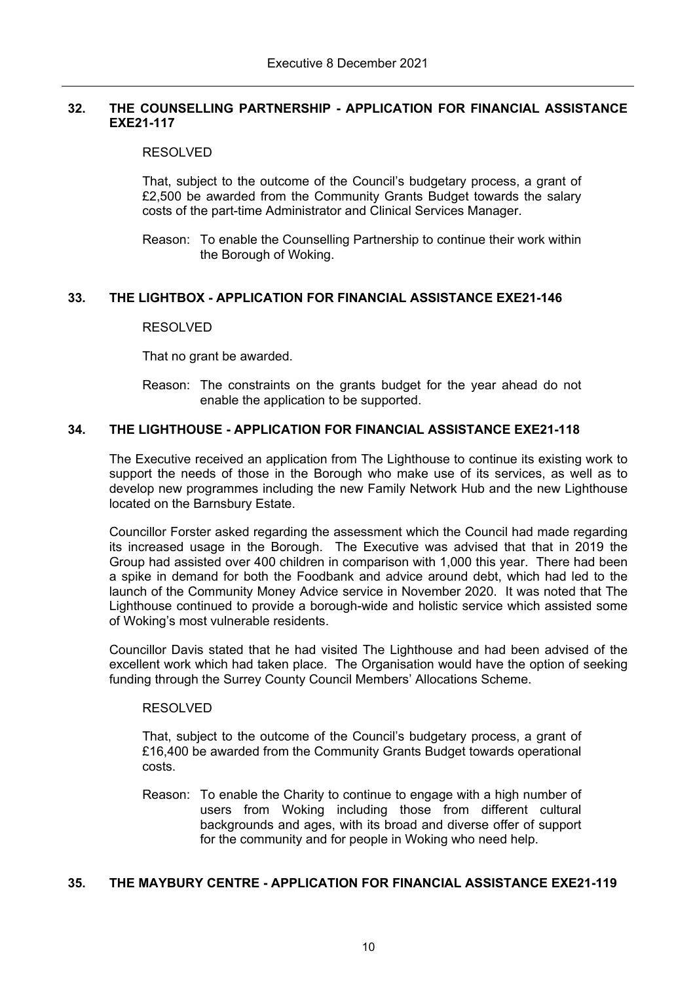# **32. THE COUNSELLING PARTNERSHIP - APPLICATION FOR FINANCIAL ASSISTANCE EXE21-117**

# RESOLVED

That, subject to the outcome of the Council's budgetary process, a grant of £2,500 be awarded from the Community Grants Budget towards the salary costs of the part-time Administrator and Clinical Services Manager.

Reason: To enable the Counselling Partnership to continue their work within the Borough of Woking.

# **33. THE LIGHTBOX - APPLICATION FOR FINANCIAL ASSISTANCE EXE21-146**

# RESOLVED

That no grant be awarded.

Reason: The constraints on the grants budget for the year ahead do not enable the application to be supported.

# **34. THE LIGHTHOUSE - APPLICATION FOR FINANCIAL ASSISTANCE EXE21-118**

The Executive received an application from The Lighthouse to continue its existing work to support the needs of those in the Borough who make use of its services, as well as to develop new programmes including the new Family Network Hub and the new Lighthouse located on the Barnsbury Estate.

Councillor Forster asked regarding the assessment which the Council had made regarding its increased usage in the Borough. The Executive was advised that that in 2019 the Group had assisted over 400 children in comparison with 1,000 this year. There had been a spike in demand for both the Foodbank and advice around debt, which had led to the launch of the Community Money Advice service in November 2020. It was noted that The Lighthouse continued to provide a borough-wide and holistic service which assisted some of Woking's most vulnerable residents.

Councillor Davis stated that he had visited The Lighthouse and had been advised of the excellent work which had taken place. The Organisation would have the option of seeking funding through the Surrey County Council Members' Allocations Scheme.

# RESOLVED

That, subject to the outcome of the Council's budgetary process, a grant of £16,400 be awarded from the Community Grants Budget towards operational costs.

Reason: To enable the Charity to continue to engage with a high number of users from Woking including those from different cultural backgrounds and ages, with its broad and diverse offer of support for the community and for people in Woking who need help.

# **35. THE MAYBURY CENTRE - APPLICATION FOR FINANCIAL ASSISTANCE EXE21-119**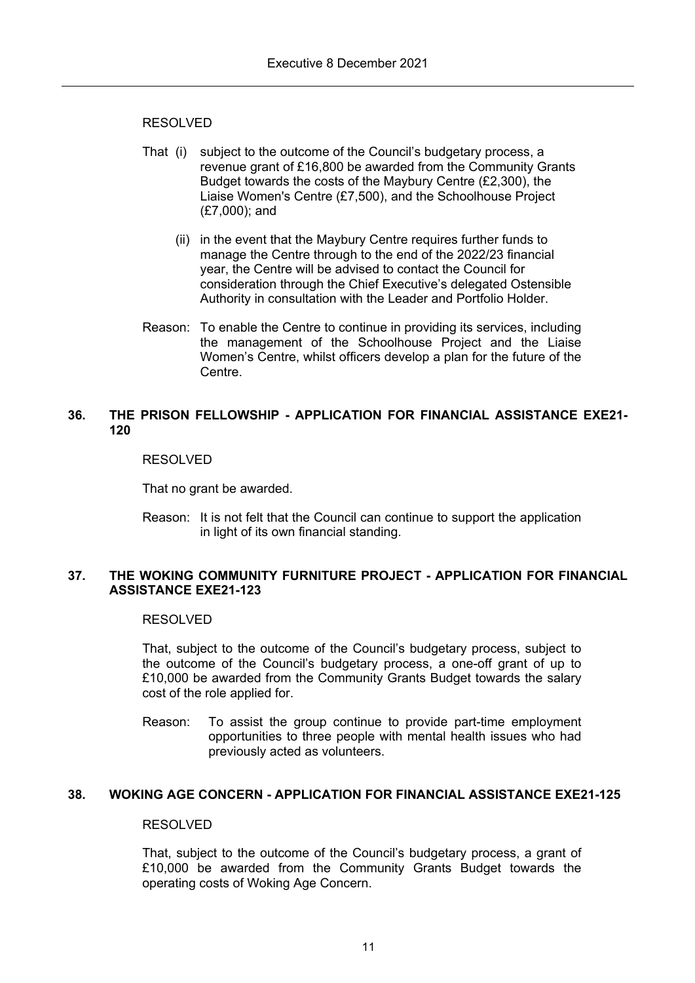- That (i) subject to the outcome of the Council's budgetary process, a revenue grant of £16,800 be awarded from the Community Grants Budget towards the costs of the Maybury Centre (£2,300), the Liaise Women's Centre (£7,500), and the Schoolhouse Project (£7,000); and
	- (ii) in the event that the Maybury Centre requires further funds to manage the Centre through to the end of the 2022/23 financial year, the Centre will be advised to contact the Council for consideration through the Chief Executive's delegated Ostensible Authority in consultation with the Leader and Portfolio Holder.
- Reason: To enable the Centre to continue in providing its services, including the management of the Schoolhouse Project and the Liaise Women's Centre, whilst officers develop a plan for the future of the Centre.

# **36. THE PRISON FELLOWSHIP - APPLICATION FOR FINANCIAL ASSISTANCE EXE21- 120**

### RESOLVED

That no grant be awarded.

Reason: It is not felt that the Council can continue to support the application in light of its own financial standing.

### **37. THE WOKING COMMUNITY FURNITURE PROJECT - APPLICATION FOR FINANCIAL ASSISTANCE EXE21-123**

#### RESOLVED

That, subject to the outcome of the Council's budgetary process, subject to the outcome of the Council's budgetary process, a one-off grant of up to £10,000 be awarded from the Community Grants Budget towards the salary cost of the role applied for.

Reason: To assist the group continue to provide part-time employment opportunities to three people with mental health issues who had previously acted as volunteers.

# **38. WOKING AGE CONCERN - APPLICATION FOR FINANCIAL ASSISTANCE EXE21-125**

### RESOLVED

That, subject to the outcome of the Council's budgetary process, a grant of £10,000 be awarded from the Community Grants Budget towards the operating costs of Woking Age Concern.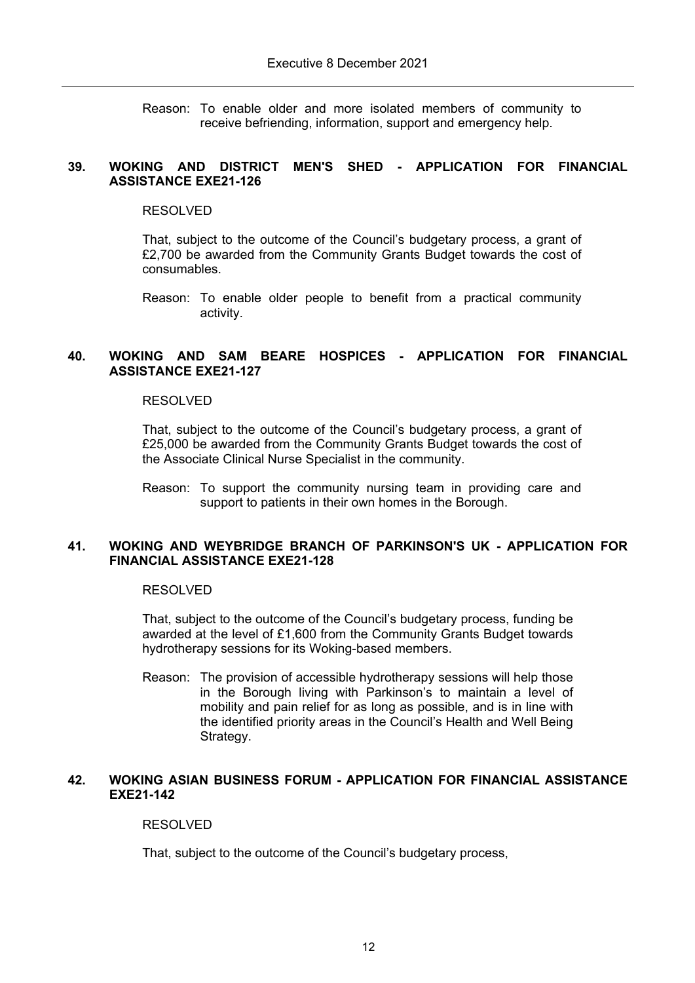Reason: To enable older and more isolated members of community to receive befriending, information, support and emergency help.

### **39. WOKING AND DISTRICT MEN'S SHED - APPLICATION FOR FINANCIAL ASSISTANCE EXE21-126**

#### RESOLVED

That, subject to the outcome of the Council's budgetary process, a grant of £2,700 be awarded from the Community Grants Budget towards the cost of consumables.

Reason: To enable older people to benefit from a practical community activity.

### **40. WOKING AND SAM BEARE HOSPICES - APPLICATION FOR FINANCIAL ASSISTANCE EXE21-127**

#### RESOLVED

That, subject to the outcome of the Council's budgetary process, a grant of £25,000 be awarded from the Community Grants Budget towards the cost of the Associate Clinical Nurse Specialist in the community.

Reason: To support the community nursing team in providing care and support to patients in their own homes in the Borough.

### **41. WOKING AND WEYBRIDGE BRANCH OF PARKINSON'S UK - APPLICATION FOR FINANCIAL ASSISTANCE EXE21-128**

#### RESOLVED

That, subject to the outcome of the Council's budgetary process, funding be awarded at the level of £1,600 from the Community Grants Budget towards hydrotherapy sessions for its Woking-based members.

Reason: The provision of accessible hydrotherapy sessions will help those in the Borough living with Parkinson's to maintain a level of mobility and pain relief for as long as possible, and is in line with the identified priority areas in the Council's Health and Well Being Strategy.

# **42. WOKING ASIAN BUSINESS FORUM - APPLICATION FOR FINANCIAL ASSISTANCE EXE21-142**

# RESOLVED

That, subject to the outcome of the Council's budgetary process,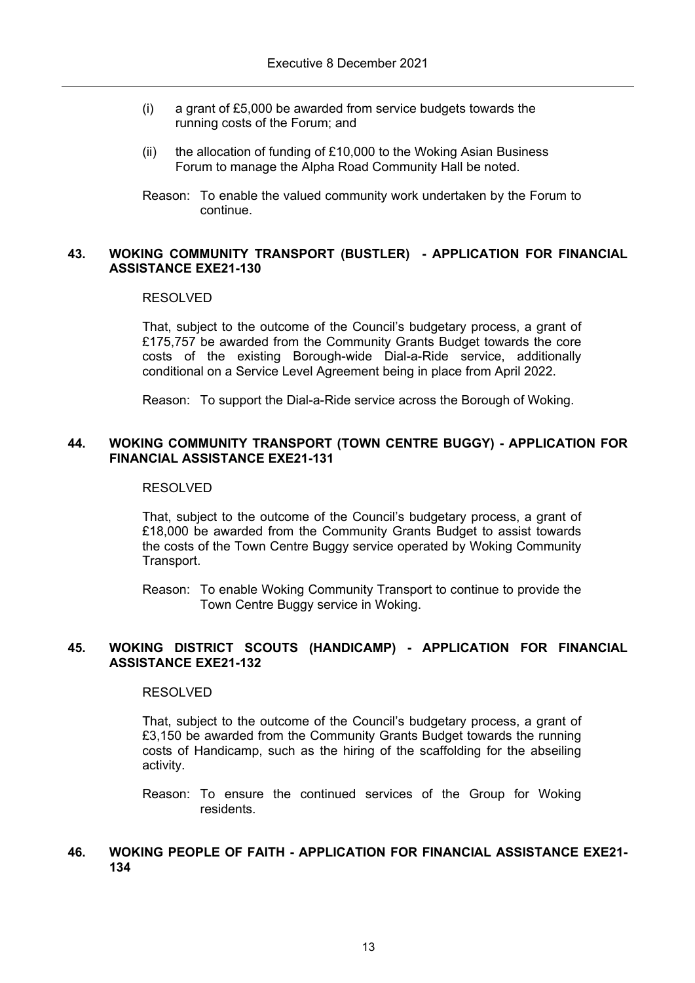- (i) a grant of £5,000 be awarded from service budgets towards the running costs of the Forum; and
- (ii) the allocation of funding of £10,000 to the Woking Asian Business Forum to manage the Alpha Road Community Hall be noted.
- Reason: To enable the valued community work undertaken by the Forum to continue.

### **43. WOKING COMMUNITY TRANSPORT (BUSTLER) - APPLICATION FOR FINANCIAL ASSISTANCE EXE21-130**

#### RESOLVED

That, subject to the outcome of the Council's budgetary process, a grant of £175,757 be awarded from the Community Grants Budget towards the core costs of the existing Borough-wide Dial-a-Ride service, additionally conditional on a Service Level Agreement being in place from April 2022.

Reason: To support the Dial-a-Ride service across the Borough of Woking.

# **44. WOKING COMMUNITY TRANSPORT (TOWN CENTRE BUGGY) - APPLICATION FOR FINANCIAL ASSISTANCE EXE21-131**

### RESOLVED

That, subject to the outcome of the Council's budgetary process, a grant of £18,000 be awarded from the Community Grants Budget to assist towards the costs of the Town Centre Buggy service operated by Woking Community Transport.

Reason: To enable Woking Community Transport to continue to provide the Town Centre Buggy service in Woking.

### **45. WOKING DISTRICT SCOUTS (HANDICAMP) - APPLICATION FOR FINANCIAL ASSISTANCE EXE21-132**

#### RESOLVED

That, subject to the outcome of the Council's budgetary process, a grant of £3,150 be awarded from the Community Grants Budget towards the running costs of Handicamp, such as the hiring of the scaffolding for the abseiling activity.

Reason: To ensure the continued services of the Group for Woking residents.

### **46. WOKING PEOPLE OF FAITH - APPLICATION FOR FINANCIAL ASSISTANCE EXE21- 134**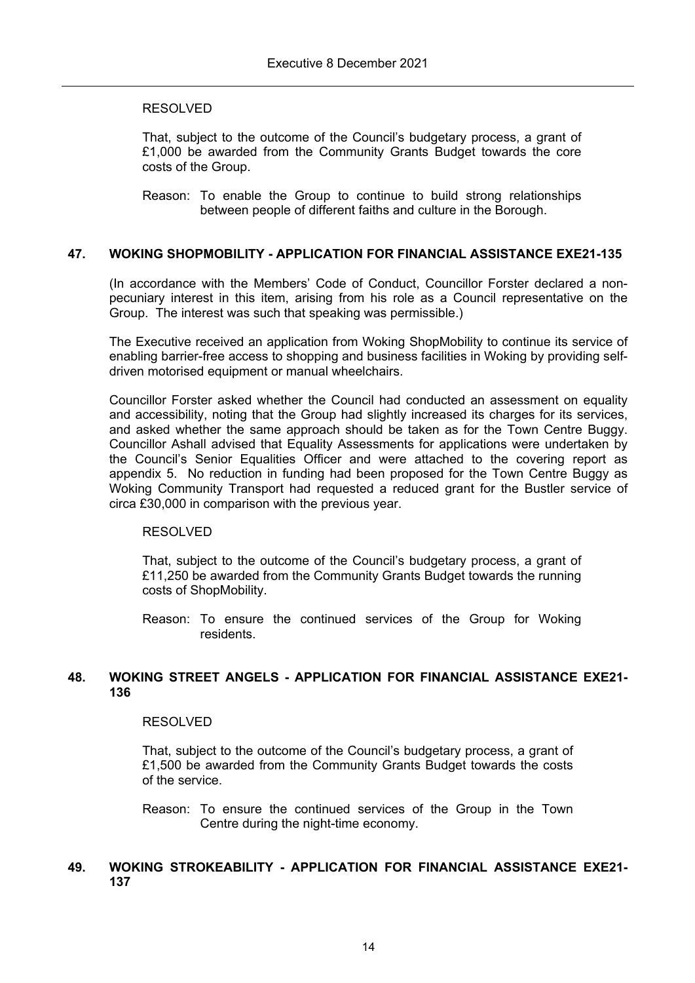That, subject to the outcome of the Council's budgetary process, a grant of £1,000 be awarded from the Community Grants Budget towards the core costs of the Group.

Reason: To enable the Group to continue to build strong relationships between people of different faiths and culture in the Borough.

# **47. WOKING SHOPMOBILITY - APPLICATION FOR FINANCIAL ASSISTANCE EXE21-135**

(In accordance with the Members' Code of Conduct, Councillor Forster declared a nonpecuniary interest in this item, arising from his role as a Council representative on the Group. The interest was such that speaking was permissible.)

The Executive received an application from Woking ShopMobility to continue its service of enabling barrier-free access to shopping and business facilities in Woking by providing selfdriven motorised equipment or manual wheelchairs.

Councillor Forster asked whether the Council had conducted an assessment on equality and accessibility, noting that the Group had slightly increased its charges for its services, and asked whether the same approach should be taken as for the Town Centre Buggy. Councillor Ashall advised that Equality Assessments for applications were undertaken by the Council's Senior Equalities Officer and were attached to the covering report as appendix 5. No reduction in funding had been proposed for the Town Centre Buggy as Woking Community Transport had requested a reduced grant for the Bustler service of circa £30,000 in comparison with the previous year.

# RESOLVED

That, subject to the outcome of the Council's budgetary process, a grant of £11,250 be awarded from the Community Grants Budget towards the running costs of ShopMobility.

Reason: To ensure the continued services of the Group for Woking residents.

### **48. WOKING STREET ANGELS - APPLICATION FOR FINANCIAL ASSISTANCE EXE21- 136**

### RESOLVED

That, subject to the outcome of the Council's budgetary process, a grant of £1,500 be awarded from the Community Grants Budget towards the costs of the service.

Reason: To ensure the continued services of the Group in the Town Centre during the night-time economy.

# **49. WOKING STROKEABILITY - APPLICATION FOR FINANCIAL ASSISTANCE EXE21- 137**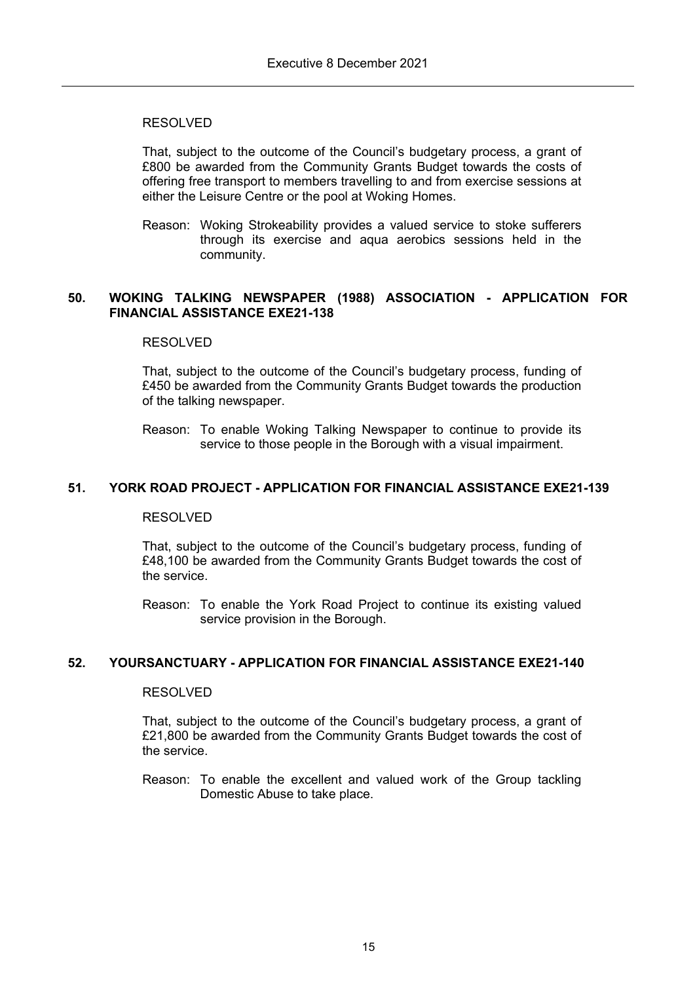That, subject to the outcome of the Council's budgetary process, a grant of £800 be awarded from the Community Grants Budget towards the costs of offering free transport to members travelling to and from exercise sessions at either the Leisure Centre or the pool at Woking Homes.

Reason: Woking Strokeability provides a valued service to stoke sufferers through its exercise and aqua aerobics sessions held in the community.

### **50. WOKING TALKING NEWSPAPER (1988) ASSOCIATION - APPLICATION FOR FINANCIAL ASSISTANCE EXE21-138**

### RESOLVED

That, subject to the outcome of the Council's budgetary process, funding of £450 be awarded from the Community Grants Budget towards the production of the talking newspaper.

Reason: To enable Woking Talking Newspaper to continue to provide its service to those people in the Borough with a visual impairment.

# **51. YORK ROAD PROJECT - APPLICATION FOR FINANCIAL ASSISTANCE EXE21-139**

#### RESOLVED

That, subject to the outcome of the Council's budgetary process, funding of £48,100 be awarded from the Community Grants Budget towards the cost of the service.

Reason: To enable the York Road Project to continue its existing valued service provision in the Borough.

#### **52. YOURSANCTUARY - APPLICATION FOR FINANCIAL ASSISTANCE EXE21-140**

#### RESOLVED

That, subject to the outcome of the Council's budgetary process, a grant of £21,800 be awarded from the Community Grants Budget towards the cost of the service.

Reason: To enable the excellent and valued work of the Group tackling Domestic Abuse to take place.